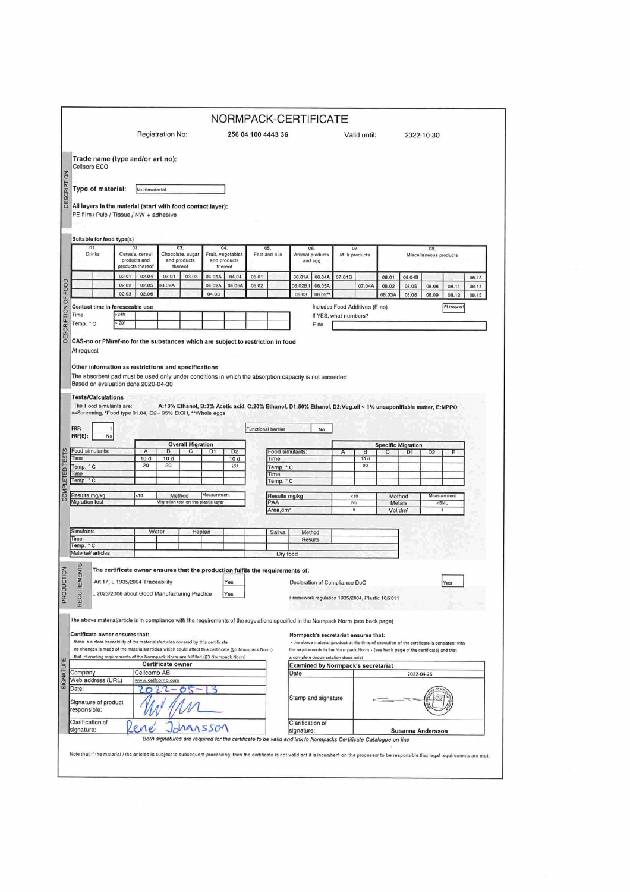|                                                 |                                                                                                                                                                                                         |                                                     |                                          |                                         |                                                    |                                          |                    |                                                 | NORMPACK-CERTIFICATE                                                                                             |                                  |                                      |                      |                |                                                                                              |                |                                             |                |  |  |
|-------------------------------------------------|---------------------------------------------------------------------------------------------------------------------------------------------------------------------------------------------------------|-----------------------------------------------------|------------------------------------------|-----------------------------------------|----------------------------------------------------|------------------------------------------|--------------------|-------------------------------------------------|------------------------------------------------------------------------------------------------------------------|----------------------------------|--------------------------------------|----------------------|----------------|----------------------------------------------------------------------------------------------|----------------|---------------------------------------------|----------------|--|--|
|                                                 |                                                                                                                                                                                                         |                                                     | Registration No:<br>256 04 100 4443 36   |                                         |                                                    |                                          |                    |                                                 |                                                                                                                  | Valid until:                     |                                      |                      |                |                                                                                              | 2022-10-30     |                                             |                |  |  |
| Cellsorb ECO                                    | Trade name (type and/or art.no):                                                                                                                                                                        |                                                     |                                          |                                         |                                                    |                                          |                    |                                                 |                                                                                                                  |                                  |                                      |                      |                |                                                                                              |                |                                             |                |  |  |
|                                                 | Type of material:                                                                                                                                                                                       | Multimaterial                                       |                                          |                                         |                                                    |                                          |                    |                                                 |                                                                                                                  |                                  |                                      |                      |                |                                                                                              |                |                                             |                |  |  |
|                                                 | All layers in the material (start with food contact layer):                                                                                                                                             |                                                     |                                          |                                         |                                                    |                                          |                    |                                                 |                                                                                                                  |                                  |                                      |                      |                |                                                                                              |                |                                             |                |  |  |
|                                                 | PE-film / Pulp / Tissue / NW + adhesive                                                                                                                                                                 |                                                     |                                          |                                         |                                                    |                                          |                    |                                                 |                                                                                                                  |                                  |                                      |                      |                |                                                                                              |                |                                             |                |  |  |
|                                                 | Suitable for food type(s)                                                                                                                                                                               |                                                     |                                          |                                         |                                                    |                                          |                    |                                                 |                                                                                                                  |                                  |                                      |                      |                |                                                                                              |                |                                             |                |  |  |
| 01.<br>Drinks                                   |                                                                                                                                                                                                         | 02.<br>Cereals, cereal<br>products and              |                                          | 03.<br>Chocolate, sugar<br>and products |                                                    | 04.<br>Fruit, vegetables<br>and products |                    | 05.<br>Fats and oils                            |                                                                                                                  | 06<br>Animal products<br>and egg |                                      | 07.<br>Milk products |                | 08.<br>Miscellaneous products                                                                |                |                                             |                |  |  |
|                                                 | 02.01                                                                                                                                                                                                   | products thereof<br>02.04                           | 03.01                                    | thereof<br>03.03                        | 04.01A                                             | thereof<br>04.04                         | 05.01              |                                                 | 06.01A                                                                                                           |                                  |                                      |                      |                |                                                                                              |                |                                             |                |  |  |
|                                                 | 02.02                                                                                                                                                                                                   | 02.05                                               | 03.02A                                   |                                         | 04.02A                                             | 04.05A                                   | 05.02              |                                                 | 06.02B.I                                                                                                         | 06.04A<br>06.05A                 | 07.01B                               | 07.04A               | 08.01<br>08.02 | 08.04B<br>08.05                                                                              | 08.08          | 08.11                                       | 08.13<br>08.14 |  |  |
|                                                 | 02.03                                                                                                                                                                                                   | 02.06                                               |                                          |                                         | 04.03                                              |                                          |                    |                                                 | 06.03                                                                                                            | 06.05**                          |                                      |                      | 08.03A         | 08.06                                                                                        | 08.09          | 08.12                                       | 08.15          |  |  |
|                                                 | Contact time in foreseeable use                                                                                                                                                                         |                                                     |                                          |                                         |                                                    |                                          |                    |                                                 |                                                                                                                  |                                  | Includes Food Additives (E-no)       |                      |                |                                                                                              |                | At request                                  |                |  |  |
| Time                                            | >24h                                                                                                                                                                                                    |                                                     |                                          |                                         |                                                    |                                          |                    |                                                 | If YES, what numbers?                                                                                            |                                  |                                      |                      |                |                                                                                              |                |                                             |                |  |  |
| Temp. °C                                        | $< 20$ <sup>*</sup>                                                                                                                                                                                     |                                                     |                                          |                                         |                                                    |                                          |                    |                                                 | E.no                                                                                                             |                                  |                                      |                      |                |                                                                                              |                |                                             |                |  |  |
|                                                 | Other information as restrictions and specifications<br>The absorbent pad must be used only under conditions in which the absorption capacity is not exceeded<br>Based on evaluation done 2020-04-30    |                                                     |                                          |                                         |                                                    |                                          |                    |                                                 |                                                                                                                  |                                  |                                      |                      |                |                                                                                              |                |                                             |                |  |  |
| <b>Tests/Calculations</b><br>FRF:<br>$FRF(E)$ : | The Food simulants are:<br>x=Screening, *Food type 01.04, D2= 95% EtOH, ** Whole eggs                                                                                                                   |                                                     |                                          |                                         |                                                    |                                          | Functional barrier |                                                 | A:10% Ethanol, B:3% Acetic acid, C:20% Ethanol, D1:50% Ethanol, D2:Veg.oil < 1% unsaponifiable matter, E:MPPO    | No                               |                                      |                      |                |                                                                                              |                |                                             |                |  |  |
|                                                 | No<br><b>Overall Migration</b>                                                                                                                                                                          |                                                     |                                          |                                         |                                                    |                                          |                    |                                                 | <b>Specific Migration</b>                                                                                        |                                  |                                      |                      |                |                                                                                              |                |                                             |                |  |  |
| Food simulants:<br>Time                         |                                                                                                                                                                                                         | $\overline{c}$<br>$\overline{A}$<br>в<br>10d<br>10d |                                          |                                         | D1                                                 | D <sub>2</sub><br>10d<br>Time            |                    |                                                 | Food simulants:                                                                                                  |                                  | в<br>C<br>D <sub>1</sub><br>А<br>10d |                      |                |                                                                                              | D <sub>2</sub> | Ε                                           |                |  |  |
| Temp. °C                                        |                                                                                                                                                                                                         | 20                                                  | 20                                       |                                         |                                                    | 20                                       |                    | Temp. °C                                        |                                                                                                                  |                                  |                                      | 20                   |                |                                                                                              |                |                                             |                |  |  |
| Time<br>Temp. °C                                |                                                                                                                                                                                                         |                                                     |                                          |                                         |                                                    |                                          |                    | Time                                            |                                                                                                                  |                                  |                                      |                      |                |                                                                                              |                |                                             |                |  |  |
|                                                 |                                                                                                                                                                                                         |                                                     |                                          |                                         |                                                    |                                          |                    | Temp. °C                                        |                                                                                                                  |                                  |                                      |                      |                |                                                                                              |                |                                             |                |  |  |
| Results mg/kg<br><b>Migration test</b>          |                                                                                                                                                                                                         | <10                                                 |                                          | Method                                  | Measurement<br>Migration test on the plastic layer |                                          |                    | Results mg/kg<br>PAA                            |                                                                                                                  |                                  | < 10<br>No                           |                      |                | Method<br>Metals                                                                             |                | Measurement<br><sml< td=""><td></td></sml<> |                |  |  |
|                                                 |                                                                                                                                                                                                         |                                                     |                                          |                                         |                                                    |                                          |                    | Area, dm <sup>2</sup>                           |                                                                                                                  |                                  | 6                                    |                      |                | Vol.dm <sup>3</sup>                                                                          |                | 1                                           |                |  |  |
| <b>Simulants</b>                                |                                                                                                                                                                                                         |                                                     | Water                                    |                                         | Heptan                                             |                                          |                    | Saliva                                          | Method                                                                                                           |                                  |                                      |                      |                |                                                                                              |                |                                             |                |  |  |
| Time                                            |                                                                                                                                                                                                         |                                                     |                                          |                                         |                                                    |                                          |                    |                                                 | Results                                                                                                          |                                  |                                      |                      |                |                                                                                              |                |                                             |                |  |  |
| Temp. ° C<br>Material/ articles                 |                                                                                                                                                                                                         |                                                     |                                          |                                         |                                                    |                                          |                    | Dry food                                        |                                                                                                                  |                                  |                                      |                      |                |                                                                                              |                |                                             |                |  |  |
|                                                 | The certificate owner ensures that the production fulfils the requirements of:                                                                                                                          |                                                     |                                          |                                         |                                                    |                                          |                    |                                                 |                                                                                                                  |                                  |                                      |                      |                |                                                                                              |                |                                             |                |  |  |
|                                                 |                                                                                                                                                                                                         |                                                     |                                          |                                         |                                                    |                                          |                    |                                                 |                                                                                                                  |                                  |                                      |                      |                |                                                                                              |                |                                             |                |  |  |
|                                                 |                                                                                                                                                                                                         |                                                     | -Art 17, L 1935/2004 Traceability<br>res |                                         |                                                    |                                          |                    |                                                 |                                                                                                                  | Declaration of Compliance DoC    |                                      |                      |                |                                                                                              |                |                                             |                |  |  |
| REQUIREMENTS                                    | L 2023/2006 about Good Manufacturing Practice<br>Yes                                                                                                                                                    |                                                     |                                          |                                         |                                                    |                                          |                    | Framework regulation 1935/2004, Plastic 10/2011 |                                                                                                                  |                                  |                                      |                      |                |                                                                                              |                |                                             |                |  |  |
|                                                 | The above material/article is in compliance with the requirements of the regulations specified in the Normpack Norm (see back page)                                                                     |                                                     |                                          |                                         |                                                    |                                          |                    |                                                 |                                                                                                                  |                                  |                                      |                      |                |                                                                                              |                |                                             |                |  |  |
|                                                 | Certificate owner ensures that:                                                                                                                                                                         |                                                     |                                          |                                         |                                                    |                                          |                    |                                                 |                                                                                                                  |                                  |                                      |                      |                |                                                                                              |                |                                             |                |  |  |
|                                                 | - there is a clear traceability of the materials/articles covered by this certificate                                                                                                                   |                                                     |                                          |                                         |                                                    |                                          |                    |                                                 | Normpack's secretariat ensures that:                                                                             |                                  |                                      |                      |                | - the above material /product at the time of execution of the certificate is consistent with |                |                                             |                |  |  |
|                                                 | - no changes is made of the materials/articles which could affect this certificate (§5 Normpack Norm)<br>- that interacting requirements of the Normpack Norm are fulfilled (§3 Normpack Norm)          |                                                     |                                          |                                         |                                                    |                                          |                    |                                                 |                                                                                                                  |                                  |                                      |                      |                | the requirements in the Normpack Norm - (see back page of the certificate) and that          |                |                                             |                |  |  |
|                                                 |                                                                                                                                                                                                         |                                                     | Certificate owner                        |                                         |                                                    |                                          |                    |                                                 | a complete documentation does exist<br><b>Examined by Normpack's secretariat</b>                                 |                                  |                                      |                      |                |                                                                                              |                |                                             |                |  |  |
| Company                                         |                                                                                                                                                                                                         | Cellcomb AB                                         |                                          |                                         |                                                    |                                          |                    |                                                 | Date                                                                                                             |                                  |                                      |                      |                | 2022-04-26                                                                                   |                |                                             |                |  |  |
| Web address (URL)                               |                                                                                                                                                                                                         |                                                     | www.cellcomb.com                         |                                         |                                                    |                                          |                    |                                                 |                                                                                                                  |                                  |                                      |                      |                |                                                                                              |                |                                             |                |  |  |
| Date:<br>Signature of product<br>responsible:   |                                                                                                                                                                                                         |                                                     |                                          |                                         |                                                    |                                          |                    | Stamp and signature                             |                                                                                                                  |                                  |                                      |                      |                |                                                                                              |                |                                             |                |  |  |
|                                                 |                                                                                                                                                                                                         |                                                     |                                          |                                         | SSON                                               |                                          |                    |                                                 | Clarification of<br>signature:                                                                                   |                                  |                                      |                      |                | Susanna Andersson                                                                            |                |                                             |                |  |  |
|                                                 |                                                                                                                                                                                                         |                                                     |                                          |                                         |                                                    |                                          |                    |                                                 | Both signatures are required for the certificate to be valid and link to Normpacks Certificate Catalogue on line |                                  |                                      |                      |                |                                                                                              |                |                                             |                |  |  |
| Clarification of<br>signature:                  | Note that if the material / the articles is subject to subsequent processing, then the certificate is not valid ant it is incumbent on the processor to be responsible that legal requirements are met. |                                                     |                                          |                                         |                                                    |                                          |                    |                                                 |                                                                                                                  |                                  |                                      |                      |                |                                                                                              |                |                                             |                |  |  |